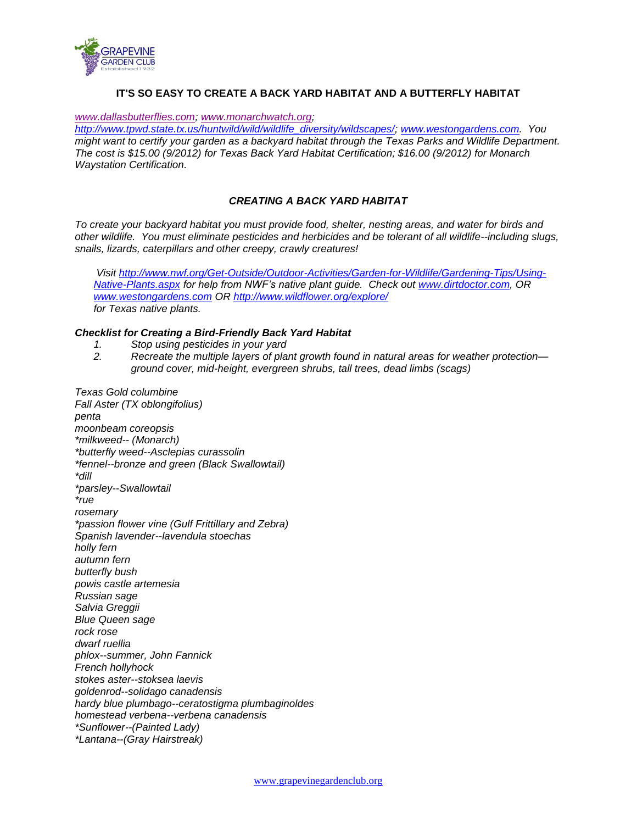

# **IT'S SO EASY TO CREATE A BACK YARD HABITAT AND A BUTTERFLY HABITAT**

*[www.dallasbutterflies.com;](http://www.dallasbutterflies.com/) [www.monarchwatch.org;](http://www.monarchwatch.org/)* 

*[http://www.tpwd.state.tx.us/huntwild/wild/wildlife\\_diversity/wildscapes/;](http://www.tpwd.state.tx.us/huntwild/wild/wildlife_diversity/wildscapes/) [www.westongardens.com.](http://www.westongardens.com/) You might want to certify your garden as a backyard habitat through the Texas Parks and Wildlife Department. The cost is \$15.00 (9/2012) for Texas Back Yard Habitat Certification; \$16.00 (9/2012) for Monarch Waystation Certification.*

### *CREATING A BACK YARD HABITAT*

*To create your backyard habitat you must provide food, shelter, nesting areas, and water for birds and other wildlife. You must eliminate pesticides and herbicides and be tolerant of all wildlife--including slugs, snails, lizards, caterpillars and other creepy, crawly creatures!*

*Visit [http://www.nwf.org/Get-Outside/Outdoor-Activities/Garden-for-Wildlife/Gardening-Tips/Using-](http://www.nwf.org/Get-Outside/Outdoor-Activities/Garden-for-Wildlife/Gardening-Tips/Using-Native-Plants.aspx)[Native-Plants.aspx](http://www.nwf.org/Get-Outside/Outdoor-Activities/Garden-for-Wildlife/Gardening-Tips/Using-Native-Plants.aspx) for help from NWF's native plant guide. Check out [www.dirtdoctor.com,](http://www.dirtdoctor.com/) OR [www.westongardens.com](http://www.westongardens.com/) OR<http://www.wildflower.org/explore/> for Texas native plants.*

#### *Checklist for Creating a Bird-Friendly Back Yard Habitat*

- *1. Stop using pesticides in your yard*
- *2. Recreate the multiple layers of plant growth found in natural areas for weather protection ground cover, mid-height, evergreen shrubs, tall trees, dead limbs (scags)*

*Texas Gold columbine Fall Aster (TX oblongifolius) penta moonbeam coreopsis \*milkweed-- (Monarch) \*butterfly weed--Asclepias curassolin \*fennel--bronze and green (Black Swallowtail) \*dill \*parsley--Swallowtail \*rue rosemary \*passion flower vine (Gulf Frittillary and Zebra) Spanish lavender--lavendula stoechas holly fern autumn fern butterfly bush powis castle artemesia Russian sage Salvia Greggii Blue Queen sage rock rose dwarf ruellia phlox--summer, John Fannick French hollyhock stokes aster--stoksea laevis goldenrod--solidago canadensis hardy blue plumbago--ceratostigma plumbaginoldes homestead verbena--verbena canadensis \*Sunflower--(Painted Lady) \*Lantana--(Gray Hairstreak)*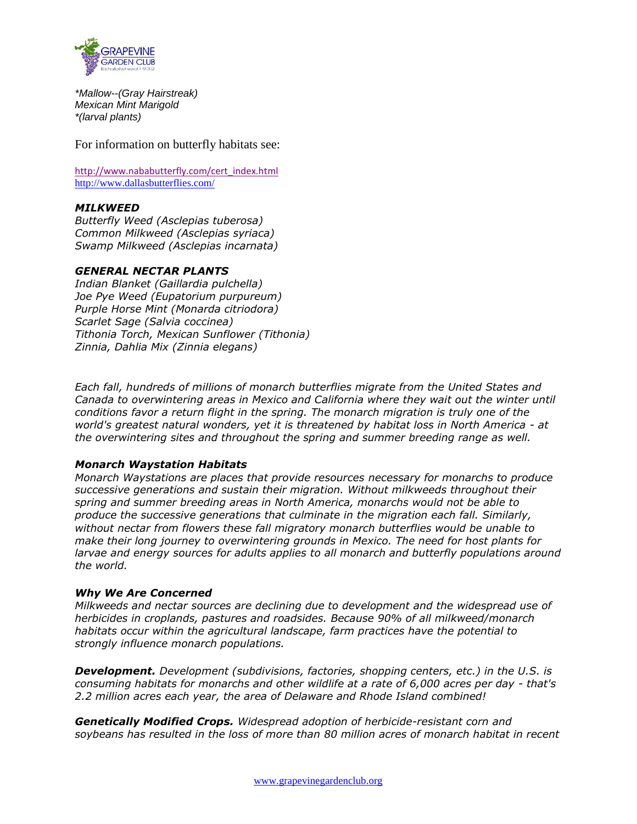

*\*Mallow--(Gray Hairstreak) Mexican Mint Marigold \*(larval plants)*

For information on butterfly habitats see:

[http://www.nababutterfly.com/cert\\_index.html](http://www.nababutterfly.com/cert_index.html) <http://www.dallasbutterflies.com/>

# *MILKWEED*

*Butterfly Weed (Asclepias tuberosa) Common Milkweed (Asclepias syriaca) Swamp Milkweed (Asclepias incarnata)* 

# *GENERAL NECTAR PLANTS*

*Indian Blanket (Gaillardia pulchella) Joe Pye Weed (Eupatorium purpureum) Purple Horse Mint (Monarda citriodora) Scarlet Sage (Salvia coccinea) Tithonia Torch, Mexican Sunflower (Tithonia) Zinnia, Dahlia Mix (Zinnia elegans)*

*Each fall, hundreds of millions of monarch butterflies migrate from the United States and Canada to overwintering areas in Mexico and California where they wait out the winter until conditions favor a return flight in the spring. The monarch migration is truly one of the world's greatest natural wonders, yet it is threatened by habitat loss in North America - at the overwintering sites and throughout the spring and summer breeding range as well.*

# *Monarch Waystation Habitats*

*Monarch Waystations are places that provide resources necessary for monarchs to produce successive generations and sustain their migration. Without milkweeds throughout their spring and summer breeding areas in North America, monarchs would not be able to produce the successive generations that culminate in the migration each fall. Similarly, without nectar from flowers these fall migratory monarch butterflies would be unable to make their long journey to overwintering grounds in Mexico. The need for host plants for larvae and energy sources for adults applies to all monarch and butterfly populations around the world.*

# *Why We Are Concerned*

*Milkweeds and nectar sources are declining due to development and the widespread use of herbicides in croplands, pastures and roadsides. Because 90% of all milkweed/monarch habitats occur within the agricultural landscape, farm practices have the potential to strongly influence monarch populations.*

*Development. Development (subdivisions, factories, shopping centers, etc.) in the U.S. is consuming habitats for monarchs and other wildlife at a rate of 6,000 acres per day - that's 2.2 million acres each year, the area of Delaware and Rhode Island combined!*

*Genetically Modified Crops. Widespread adoption of herbicide-resistant corn and soybeans has resulted in the loss of more than 80 million acres of monarch habitat in recent*